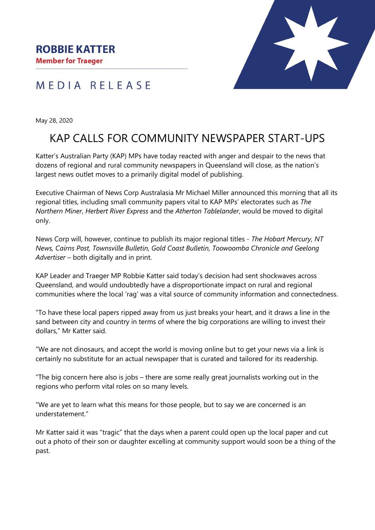



May 28, 2020

## KAP CALLS FOR COMMUNITY NEWSPAPER START-UPS

Katter's Australian Party (KAP) MPs have today reacted with anger and despair to the news that dozens of regional and rural community newspapers in Queensland will close, as the nation's largest news outlet moves to a primarily digital model of publishing.

Executive Chairman of News Corp Australasia Mr Michael Miller announced this morning that all its regional titles, including small community papers vital to KAP MPs' electorates such as *The Northern Miner*, *Herbert River Express* and the *Atherton Tablelander*, would be moved to digital only.

News Corp will, however, continue to publish its major regional titles *- The Hobart Mercury, NT News, Cairns Post, Townsville Bulletin, Gold Coast Bulletin, Toowoomba Chronicle and Geelong Advertiser* – both digitally and in print.

KAP Leader and Traeger MP Robbie Katter said today's decision had sent shockwaves across Queensland, and would undoubtedly have a disproportionate impact on rural and regional communities where the local 'rag' was a vital source of community information and connectedness.

"To have these local papers ripped away from us just breaks your heart, and it draws a line in the sand between city and country in terms of where the big corporations are willing to invest their dollars," Mr Katter said.

"We are not dinosaurs, and accept the world is moving online but to get your news via a link is certainly no substitute for an actual newspaper that is curated and tailored for its readership.

"The big concern here also is jobs – there are some really great journalists working out in the regions who perform vital roles on so many levels.

"We are yet to learn what this means for those people, but to say we are concerned is an understatement."

Mr Katter said it was "tragic" that the days when a parent could open up the local paper and cut out a photo of their son or daughter excelling at community support would soon be a thing of the past.